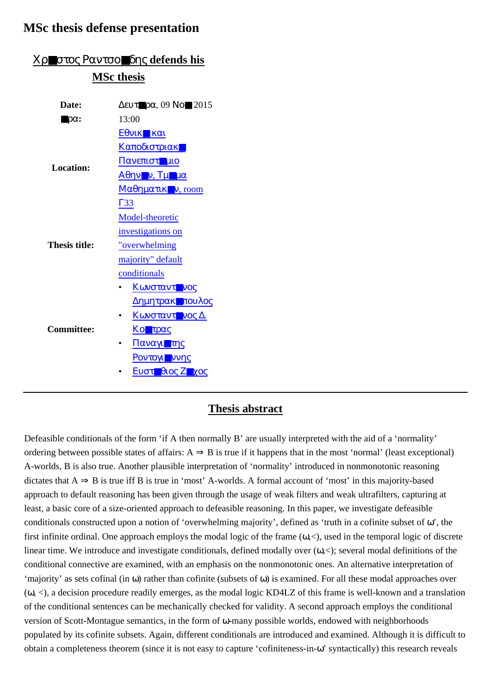## **MSc thesis defense presentation**

| Xρ■στος Ραντσο■δης defends his |                                                           |
|--------------------------------|-----------------------------------------------------------|
| <b>MSc thesis</b>              |                                                           |
|                                |                                                           |
| Date:                          | $\Delta$ ευτ $\blacksquare$ ρα, 09 Νο $\blacksquare$ 2015 |
| $\blacksquare \rho \alpha$ :   | 13:00                                                     |
| <b>Location:</b>               | Eθνικ <b>ή</b> και                                        |
|                                | Καποδιστριακ <sup>1</sup>                                 |
|                                | Πανεπιστ<br> μιο                                          |
|                                | $A\theta\eta v$ v, $T\mu$ $\mu\alpha$                     |
|                                | Μαθηματικ <sup>γ</sup> ν, room                            |
|                                | $\Gamma$ 33                                               |
| <b>Thesis title:</b>           | Model-theoretic                                           |
|                                | investigations on                                         |
|                                | "overwhelming                                             |
|                                | majority" default                                         |
|                                | conditionals                                              |
| <b>Committee:</b>              | Κωνσταντονος<br>$\bullet$                                 |
|                                | Δημητρακ πουλος                                           |
|                                | Κωνσταντονος Δ.<br>$\bullet$                              |
|                                | <u>Κο■τρας</u>                                            |
|                                | Παναγιστης<br>$\bullet$                                   |
|                                | Ροντογι ννης                                              |
|                                | Ευστ θιος Ζ χος<br>$\bullet$                              |

## Χρ■στος Ραντσο■δης **defends his**

## **Thesis abstract**

Defeasible conditionals of the form 'if A then normally B' are usually interpreted with the aid of a 'normality' ordering between possible states of affairs:  $A \Rightarrow B$  is true if it happens that in the most 'normal' (least exceptional) A-worlds, B is also true. Another plausible interpretation of 'normality' introduced in nonmonotonic reasoning dictates that  $A \Rightarrow B$  is true iff B is true in 'most' A-worlds. A formal account of 'most' in this majority-based approach to default reasoning has been given through the usage of weak filters and weak ultrafilters, capturing at least, a basic core of a size-oriented approach to defeasible reasoning. In this paper, we investigate defeasible conditionals constructed upon a notion of 'overwhelming majority', defined as 'truth in a cofinite subset of ω', the first infinite ordinal. One approach employs the modal logic of the frame  $(\omega, <)$ , used in the temporal logic of discrete linear time. We introduce and investigate conditionals, defined modally over (ω,<); several modal definitions of the conditional connective are examined, with an emphasis on the nonmonotonic ones. An alternative interpretation of 'majority' as sets cofinal (in ω) rather than cofinite (subsets of ω) is examined. For all these modal approaches over  $(\omega, <)$ , a decision procedure readily emerges, as the modal logic KD4LZ of this frame is well-known and a translation of the conditional sentences can be mechanically checked for validity. A second approach employs the conditional version of Scott-Montague semantics, in the form of ω-many possible worlds, endowed with neighborhoods populated by its cofinite subsets. Again, different conditionals are introduced and examined. Although it is difficult to obtain a completeness theorem (since it is not easy to capture 'cofiniteness-in-ω' syntactically) this research reveals